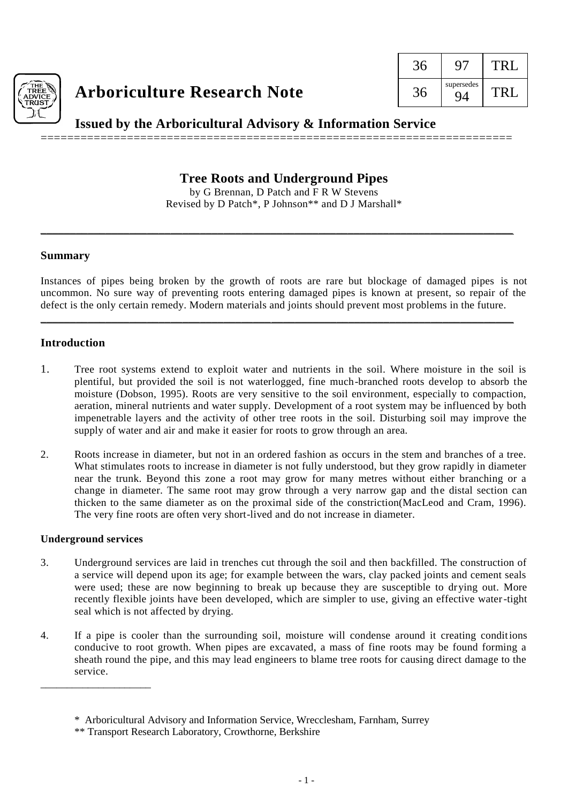

# **Arboriculture Research Note**

| supersedes |  |
|------------|--|

**Issued by the Arboricultural Advisory & Information Service**

=======================================================================

## **Tree Roots and Underground Pipes**

by G Brennan, D Patch and F R W Stevens Revised by D Patch\*, P Johnson\*\* and D J Marshall\*

\_\_\_\_\_\_\_\_\_\_\_\_\_\_\_\_\_\_\_\_\_\_\_\_\_\_\_\_\_\_\_\_\_\_\_\_\_\_\_\_\_\_\_\_\_\_\_\_\_\_\_\_\_\_\_\_\_\_\_\_\_\_\_\_\_\_\_\_\_\_\_\_\_\_\_\_\_\_\_\_

#### **Summary**

Instances of pipes being broken by the growth of roots are rare but blockage of damaged pipes is not uncommon. No sure way of preventing roots entering damaged pipes is known at present, so repair of the defect is the only certain remedy. Modern materials and joints should prevent most problems in the future.

\_\_\_\_\_\_\_\_\_\_\_\_\_\_\_\_\_\_\_\_\_\_\_\_\_\_\_\_\_\_\_\_\_\_\_\_\_\_\_\_\_\_\_\_\_\_\_\_\_\_\_\_\_\_\_\_\_\_\_\_\_\_\_\_\_\_\_\_\_\_\_\_\_\_\_\_\_\_\_\_

### **Introduction**

- 1. Tree root systems extend to exploit water and nutrients in the soil. Where moisture in the soil is plentiful, but provided the soil is not waterlogged, fine much-branched roots develop to absorb the moisture (Dobson, 1995). Roots are very sensitive to the soil environment, especially to compaction, aeration, mineral nutrients and water supply. Development of a root system may be influenced by both impenetrable layers and the activity of other tree roots in the soil. Disturbing soil may improve the supply of water and air and make it easier for roots to grow through an area.
- 2. Roots increase in diameter, but not in an ordered fashion as occurs in the stem and branches of a tree. What stimulates roots to increase in diameter is not fully understood, but they grow rapidly in diameter near the trunk. Beyond this zone a root may grow for many metres without either branching or a change in diameter. The same root may grow through a very narrow gap and the distal section can thicken to the same diameter as on the proximal side of the constriction(MacLeod and Cram, 1996). The very fine roots are often very short-lived and do not increase in diameter.

#### **Underground services**

\_\_\_\_\_\_\_\_\_\_\_\_\_\_\_\_\_\_\_\_\_

- 3. Underground services are laid in trenches cut through the soil and then backfilled. The construction of a service will depend upon its age; for example between the wars, clay packed joints and cement seals were used; these are now beginning to break up because they are susceptible to drying out. More recently flexible joints have been developed, which are simpler to use, giving an effective water-tight seal which is not affected by drying.
- 4. If a pipe is cooler than the surrounding soil, moisture will condense around it creating conditions conducive to root growth. When pipes are excavated, a mass of fine roots may be found forming a sheath round the pipe, and this may lead engineers to blame tree roots for causing direct damage to the service.

<sup>\*</sup> Arboricultural Advisory and Information Service, Wrecclesham, Farnham, Surrey

<sup>\*\*</sup> Transport Research Laboratory, Crowthorne, Berkshire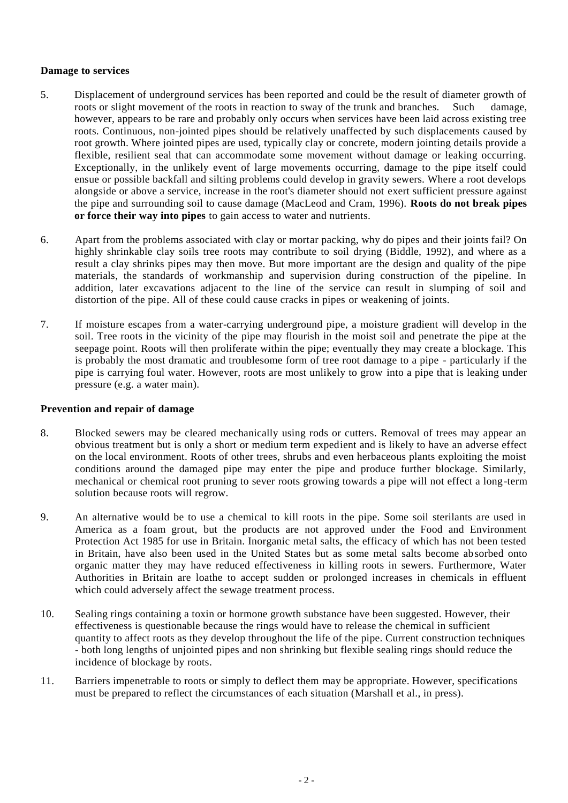#### **Damage to services**

- 5. Displacement of underground services has been reported and could be the result of diameter growth of roots or slight movement of the roots in reaction to sway of the trunk and branches. Such damage, however, appears to be rare and probably only occurs when services have been laid across existing tree roots. Continuous, non-jointed pipes should be relatively unaffected by such displacements caused by root growth. Where jointed pipes are used, typically clay or concrete, modern jointing details provide a flexible, resilient seal that can accommodate some movement without damage or leaking occurring. Exceptionally, in the unlikely event of large movements occurring, damage to the pipe itself could ensue or possible backfall and silting problems could develop in gravity sewers. Where a root develops alongside or above a service, increase in the root's diameter should not exert sufficient pressure against the pipe and surrounding soil to cause damage (MacLeod and Cram, 1996). **Roots do not break pipes or force their way into pipes** to gain access to water and nutrients.
- 6. Apart from the problems associated with clay or mortar packing, why do pipes and their joints fail? On highly shrinkable clay soils tree roots may contribute to soil drying (Biddle, 1992), and where as a result a clay shrinks pipes may then move. But more important are the design and quality of the pipe materials, the standards of workmanship and supervision during construction of the pipeline. In addition, later excavations adjacent to the line of the service can result in slumping of soil and distortion of the pipe. All of these could cause cracks in pipes or weakening of joints.
- 7. If moisture escapes from a water-carrying underground pipe, a moisture gradient will develop in the soil. Tree roots in the vicinity of the pipe may flourish in the moist soil and penetrate the pipe at the seepage point. Roots will then proliferate within the pipe; eventually they may create a blockage. This is probably the most dramatic and troublesome form of tree root damage to a pipe - particularly if the pipe is carrying foul water. However, roots are most unlikely to grow into a pipe that is leaking under pressure (e.g. a water main).

#### **Prevention and repair of damage**

- 8. Blocked sewers may be cleared mechanically using rods or cutters. Removal of trees may appear an obvious treatment but is only a short or medium term expedient and is likely to have an adverse effect on the local environment. Roots of other trees, shrubs and even herbaceous plants exploiting the moist conditions around the damaged pipe may enter the pipe and produce further blockage. Similarly, mechanical or chemical root pruning to sever roots growing towards a pipe will not effect a long-term solution because roots will regrow.
- 9. An alternative would be to use a chemical to kill roots in the pipe. Some soil sterilants are used in America as a foam grout, but the products are not approved under the Food and Environment Protection Act 1985 for use in Britain. Inorganic metal salts, the efficacy of which has not been tested in Britain, have also been used in the United States but as some metal salts become absorbed onto organic matter they may have reduced effectiveness in killing roots in sewers. Furthermore, Water Authorities in Britain are loathe to accept sudden or prolonged increases in chemicals in effluent which could adversely affect the sewage treatment process.
- 10. Sealing rings containing a toxin or hormone growth substance have been suggested. However, their effectiveness is questionable because the rings would have to release the chemical in sufficient quantity to affect roots as they develop throughout the life of the pipe. Current construction techniques - both long lengths of unjointed pipes and non shrinking but flexible sealing rings should reduce the incidence of blockage by roots.
- 11. Barriers impenetrable to roots or simply to deflect them may be appropriate. However, specifications must be prepared to reflect the circumstances of each situation (Marshall et al., in press).